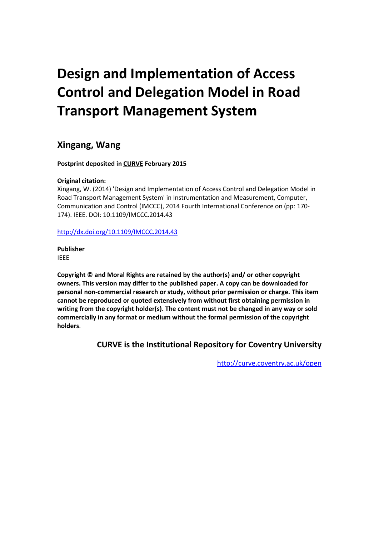# **Design and Implementation of Access Control and Delegation Model in Road Transport Management System**

### **Xingang, Wang**

**Postprint deposited in [CURVE](http://curve.coventry.ac.uk/open) February 2015**

### **Original citation:**

Xingang, W. (2014) 'Design and Implementation of Access Control and Delegation Model in Road Transport Management System' in Instrumentation and Measurement, Computer, Communication and Control (IMCCC), 2014 Fourth International Conference on (pp: 170- 174). IEEE. DOI: 10.1109/IMCCC.2014.43

<http://dx.doi.org/10.1109/IMCCC.2014.43>

**Publisher** IEEE

**Copyright © and Moral Rights are retained by the author(s) and/ or other copyright owners. This version may differ to the published paper. A copy can be downloaded for personal non-commercial research or study, without prior permission or charge. This item cannot be reproduced or quoted extensively from without first obtaining permission in writing from the copyright holder(s). The content must not be changed in any way or sold commercially in any format or medium without the formal permission of the copyright holders**.

**CURVE is the Institutional Repository for Coventry University**

<http://curve.coventry.ac.uk/open>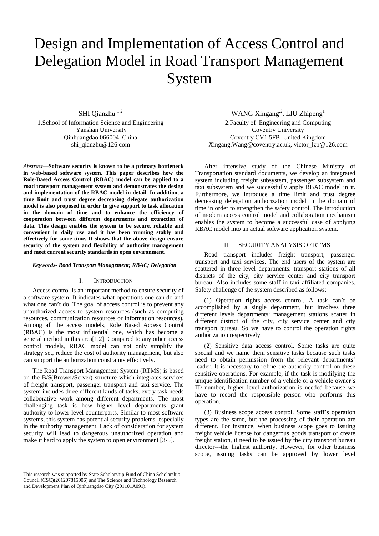## Design and Implementation of Access Control and Delegation Model in Road Transport Management System

SHI Qianzhu 1,2 1.School of Information Science and Engineering Yanshan University Qinhuangdao 066004, China shi\_qianzhu@126.com

*Abstract***—Software security is known to be a primary bottleneck in web-based software system. This paper describes how the Role-Based Access Control (RBAC) model can be applied to a road transport management system and demonstrates the design and implementation of the RBAC model in detail. In addition, a time limit and trust degree decreasing delegate authorization model is also proposed in order to give support to task allocation in the domain of time and to enhance the efficiency of cooperation between different departments and extraction of data. This design enables the system to be secure, reliable and convenient in daily use and it has been running stably and effectively for some time. It shows that the above design ensure security of the system and flexibility of authority management and meet current security standards in open environment.** 

#### *Keywords- Road Transport Management; RBAC; Delegation*

#### I. INTRODUCTION

Access control is an important method to ensure security of a software system. It indicates what operations one can do and what one can't do. The goal of access control is to prevent any unauthorized access to system resources (such as computing resources, communication resources or information resources). Among all the access models, Role Based Access Control (RBAC) is the most influential one, which has become a general method in this area[1,2]. Compared to any other access control models, RBAC model can not only simplify the strategy set, reduce the cost of authority management, but also can support the authorization constraints effectively.

The Road Transport Management System (RTMS) is based on the B/S(Brower/Server) structure which integrates services of freight transport, passenger transport and taxi service. The system includes three different kinds of tasks, every task needs collaborative work among different departments. The most challenging task is how higher level departments grant authority to lower level counterparts. Similar to most software systems, this system has potential security problems, especially in the authority management. Lack of consideration for system security will lead to dangerous unauthorized operation and make it hard to apply the system to open environment [3-5].

WANG Xingang<sup>,2</sup>, LIU Zhipeng<sup>1</sup> 2.Faculty of Engineering and Computing Coventry University Coventry CV1 5FB, United Kingdom Xingang.Wang@coventry.ac.uk, victor\_lzp@126.com

After intensive study of the Chinese Ministry of Transportation standard documents, we develop an integrated system including freight subsystem, passenger subsystem and taxi subsystem and we successfully apply RBAC model in it. Furthermore, we introduce a time limit and trust degree decreasing delegation authorization model in the domain of time in order to strengthen the safety control. The introduction of modern access control model and collaboration mechanism enables the system to become a successful case of applying RBAC model into an actual software application system.

#### II. SECURITY ANALYSIS OF RTMS

Road transport includes freight transport, passenger transport and taxi services. The end users of the system are scattered in three level departments: transport stations of all districts of the city, city service center and city transport bureau. Also includes some staff in taxi affiliated companies. Safety challenge of the system described as follows:

(1) Operation rights access control. A task can't be accomplished by a single department, but involves three different levels departments: management stations scatter in different district of the city, city service center and city transport bureau. So we have to control the operation rights authorization respectively.

(2) Sensitive data access control. Some tasks are quite special and we name them sensitive tasks because such tasks need to obtain permission from the relevant departments' leader. It is necessary to refine the authority control on these sensitive operations. For example, if the task is modifying the unique identification number of a vehicle or a vehicle owner's ID number, higher level authorization is needed because we have to record the responsible person who performs this operation.

(3) Business scope access control. Some staff's operation types are the same, but the processing of their operation are different. For instance, when business scope goes to issuing freight vehicle license for dangerous goods transport or create freight station, it need to be issued by the city transport bureau director---the highest authority. However, for other business scope, issuing tasks can be approved by lower level

This research was supported by State Scholarship Fund of China Scholarship Council (CSC)(201207815006) and The Science and Technology Research and Development Plan of Qinhuangdao City (201101A091).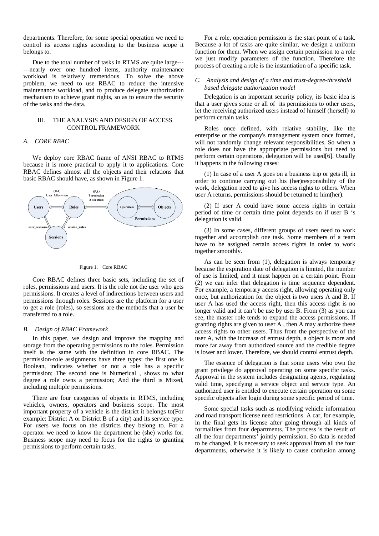departments. Therefore, for some special operation we need to control its access rights according to the business scope it belongs to.

Due to the total number of tasks in RTMS are quite large--- ---nearly over one hundred items, authority maintenance workload is relatively tremendous. To solve the above problem, we need to use RBAC to reduce the intensive maintenance workload, and to produce delegate authorization mechanism to achieve grant rights, so as to ensure the security of the tasks and the data.

#### III. THE ANALYSIS AND DESIGN OF ACCESS CONTROL FRAMEWORK

#### *A. CORE RBAC*

We deploy core RBAC frame of ANSI RBAC to RTMS because it is more practical to apply it to applications. Core RBAC defines almost all the objects and their relations that basic RBAC should have, as shown in Figure 1.





Core RBAC defines three basic sets, including the set of roles, permissions and users. It is the role not the user who gets permissions. It creates a level of indirections between users and permissions through roles. Sessions are the platform for a user to get a role (roles), so sessions are the methods that a user be transferred to a role.

#### *B. Design of RBAC Framework*

In this paper, we design and improve the mapping and storage from the operating permissions to the roles. Permission itself is the same with the definition in core RBAC. The permission-role assignments have three types: the first one is Boolean, indicates whether or not a role has a specific permission; The second one is Numerical , shows to what degree a role owns a permission; And the third is Mixed, including multiple permissions.

There are four categories of objects in RTMS, including vehicles, owners, operators and business scope. The most important property of a vehicle is the district it belongs to(For example: District A or District B of a city) and its service type. For users we focus on the districts they belong to. For a operator we need to know the department he (she) works for. Business scope may need to focus for the rights to granting permissions to perform certain tasks.

For a role, operation permission is the start point of a task. Because a lot of tasks are quite similar, we design a uniform function for them. When we assign certain permission to a role we just modify parameters of the function. Therefore the process of creating a role is the instantiation of a specific task.

#### *C. Analysis and design of a time and trust-degree-threshold based delegate authorization model*

Delegation is an important security policy, its basic idea is that a user gives some or all of its permissions to other users, let the receiving authorized users instead of himself (herself) to perform certain tasks.

Roles once defined, with relative stability, like the enterprise or the company's management system once formed, will not randomly change relevant responsibilities. So when a role does not have the appropriate permissions but need to perform certain operations, delegation will be used[6]. Usually it happens in the following cases:

(1) In case of a user A goes on a business trip or gets ill, in order to continue carrying out his (her)responsibility of the work, delegation need to give his access rights to others. When user A returns, permissions should be returned to him(her).

(2) If user A could have some access rights in certain period of time or certain time point depends on if user B 's delegation is valid.

(3) In some cases, different groups of users need to work together and accomplish one task. Some members of a team have to be assigned certain access rights in order to work together smoothly.

As can be seen from (1), delegation is always temporary because the expiration date of delegation is limited, the number of use is limited, and it must happen on a certain point. From (2) we can infer that delegation is time sequence dependent. For example, a temporary access right, allowing operating only once, but authorization for the object is two users A and B. If user A has used the access right, then this access right is no longer valid and it can't be use by user B. From (3) as you can see, the master role tends to expand the access permissions. If granting rights are given to user A , then A may authorize these access rights to other users. Thus from the perspective of the user A, with the increase of entrust depth, a object is more and more far away from authorized source and the credible degree is lower and lower. Therefore, we should control entrust depth.

The essence of delegation is that some users who own the grant privilege do approval operating on some specific tasks. Approval in the system includes designating agents, regulating valid time, specifying a service object and service type. An authorized user is entitled to execute certain operation on some specific objects after login during some specific period of time.

Some special tasks such as modifying vehicle information and road transport license need restrictions. A car, for example, in the final gets its license after going through all kinds of formalities from four departments. The process is the result of all the four departments' jointly permission. So data is needed to be changed, it is necessary to seek approval from all the four departments, otherwise it is likely to cause confusion among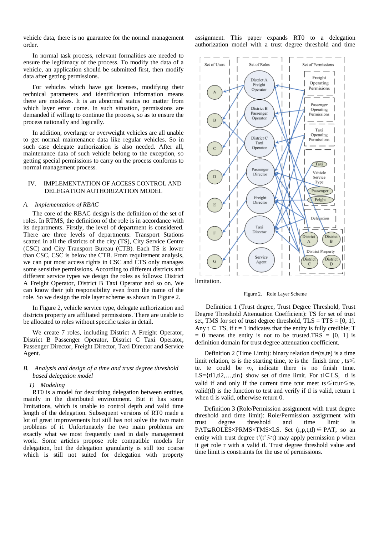vehicle data, there is no guarantee for the normal management order.

In normal task process, relevant formalities are needed to ensure the legitimacy of the process. To modify the data of a vehicle, an application should be submitted first, then modify data after getting permissions.

For vehicles which have got licenses, modifying their technical parameters and identification information means there are mistakes. It is an abnormal status no matter from which layer error come. In such situation, permissions are demanded if willing to continue the process, so as to ensure the process nationally and logically.

In addition, overlarge or overweight vehicles are all unable to get normal maintenance data like regular vehicles. So in such case delegate authorization is also needed. After all, maintenance data of such vehicle belong to the exception, so getting special permissions to carry on the process conforms to normal management process.

#### IV. IMPLEMENTATION OF ACCESS CONTROL AND DELEGATION AUTHORIZATION MODEL

#### *A. Implementation of RBAC*

The core of the RBAC design is the definition of the set of roles. In RTMS, the definition of the role is in accordance with its departments. Firstly, the level of department is considered. There are three levels of departments: Transport Stations scatted in all the districts of the city (TS), City Service Centre (CSC) and City Transport Bureau (CTB). Each TS is lower than CSC, CSC is below the CTB. From requirement analysis, we can put most access rights in CSC and CTS only manages some sensitive permissions. According to different districts and different service types we design the roles as follows: District A Freight Operator, District B Taxi Operator and so on. We can know their job responsibility even from the name of the role. So we design the role layer scheme as shown in Figure 2.

In Figure 2, vehicle service type, delegate authorization and districts property are affiliated permissions. There are unable to be allocated to roles without specific tasks in detail.

We create 7 roles, including District A Freight Operator, District B Passenger Operator, District C Taxi Operator, Passenger Director, Freight Director, Taxi Director and Service Agent.

#### *B. Analysis and design of a time and trust degree threshold based delegation model*

#### *1) Modeling*

RT0 is a model for describing delegation between entities, mainly in the distributed environment. But it has some limitations, which is unable to control depth and valid time length of the delegation. Subsequent versions of RT0 made a lot of great improvements but still has not solve the two main problems of it. Unfortunately the two main problems are exactly what we most frequently used in daily management work. Some articles propose role compatible models for delegation, but the delegation granularity is still too coarse which is still not suited for delegation with property assignment. This paper expands RT0 to a delegation authorization model with a trust degree threshold and time



limitation.

Figure 2. Role Layer Scheme

Definition 1 (Trust degree, Trust Degree Threshold, Trust Degree Threshold Attenuation Coefficient): TS for set of trust set, TMS for set of trust degree threshold,  $TLS = TTS = [0, 1].$ Any  $t \in TS$ , if  $t = 1$  indicates that the entity is fully credible; T  $= 0$  means the entity is not to be trusted.TRS  $= [0, 1]$  is definition domain for trust degree attenuation coefficient.

Definition 2 (Time Limit): binary relation  $tl=(ts,te)$  is a time limit relation, ts is the starting time, te is the finish time, ts  $\leq$ te. te could be ∞, indicate there is no finish time. LS= $\{t11, t12, \ldots, t1n\}$  show set of time limit. For  $t1 \in LS$ , tl is valid if and only if the current time tcur meet ts≤tcur≤te. valid(tl) is the function to test and verify if tl is valid, return 1 when the is valid, otherwise return 0.

Definition 3 (Role/Permission assignment with trust degree threshold and time limit): Role/Permission assignment with trust degree threshold and time limit is PAT⊆ROLES×PRMS×TMS×LS. Set (r,p,t,tl)∈PAT, so an entity with trust degree t'(t' $\geq$ t) may apply permission p when it get role r with a valid tl. Trust degree threshold value and time limit is constraints for the use of permissions.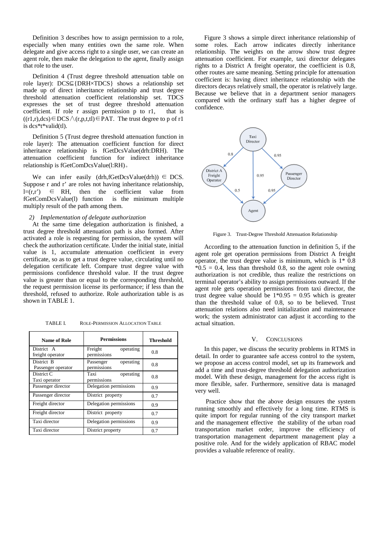Definition 3 describes how to assign permission to a role, especially when many entities own the same role. When delegate and give access right to a single user, we can create an agent role, then make the delegation to the agent, finally assign that role to the user.

Definition 4 (Trust degree threshold attenuation table on role layer): DCS⊆{DRH×TDCS} shows a relationship set made up of direct inheritance relationship and trust degree threshold attenuation coefficient relationship set. TDCS expresses the set of trust degree threshold attenuation coefficient. If role r assign permission p to r1, that is  $((r1,r),dcs) \in DCS \wedge (r,p,t,t) \in {PAT}$ . The trust degree to p of r1 is dcs\*t\*valid(tl).

Definition 5 (Trust degree threshold attenuation function in role layer): The attenuation coefficient function for direct inheritance relationship is fGetDcsValue(drh:DRH). The attenuation coefficient function for indirect inheritance relationship is fGetComDcsValue(l:RH)。

We can infer easily  $(drh, fGetDcsValue(drh)) \in DCS$ . Suppose r and r' are roles not having inheritance relationship,  $l=(r,r') \in RH$ , then the coefficient value from fGetComDcsValue(l) function is the minimum multiple multiply result of the path among them.

#### *2) Implementation of delegate authorization*

At the same time delegation authorization is finished, a trust degree threshold attenuation path is also formed. After activated a role is requesting for permission, the system will check the authorization certificate. Under the initial state, initial value is 1, accumulate attenuation coefficient in every certificate, so as to get a trust degree value, circulating until no delegation certificate left. Compare trust degree value with permissions confidence threshold value. If the trust degree value is greater than or equal to the corresponding threshold, the request permission license its performance; if less than the threshold, refused to authorize. Role authorization table is as shown in TABLE 1.

TABLE I. ROLE-PERMISSION ALLOCATION TABLE

| <b>Name of Role</b>              | <b>Permissions</b>                    | <b>Threshold</b> |
|----------------------------------|---------------------------------------|------------------|
| District A<br>freight operator   | Freight<br>operating<br>permissions   | 0.8              |
| District B<br>Passenger operator | operating<br>Passenger<br>permissions | 0.8              |
| District C<br>Taxi operator      | Taxi<br>operating<br>permissions      | 0.8              |
| Passenger director               | Delegation permissions                | 0.9              |
| Passenger director               | District property                     | 0.7              |
| Freight director                 | Delegation permissions                | 0.9              |
| Freight director                 | District property                     | 0.7              |
| Taxi director                    | Delegation permissions                | 0.9              |
| Taxi director                    | District property                     | 0.7              |

Figure 3 shows a simple direct inheritance relationship of some roles. Each arrow indicates directly inheritance relationship. The weights on the arrow show trust degree attenuation coefficient. For example, taxi director delegates rights to a District A freight operator, the coefficient is 0.8, other routes are same meaning. Setting principle for attenuation coefficient is: having direct inheritance relationship with the directors decays relatively small, the operator is relatively large. Because we believe that in a department senior managers compared with the ordinary staff has a higher degree of confidence.



Figure 3. Trust-Degree Threshold Attenuation Relationship

According to the attenuation function in definition 5, if the agent role get operation permissions from District A freight operator, the trust degree value is minimum, which is  $1*$  0.8  $*0.5 = 0.4$ , less than threshold 0.8, so the agent role owning authorization is not credible, thus realize the restrictions on terminal operator's ability to assign permissions outward. If the agent role gets operation permissions from taxi director, the trust degree value should be  $1*0.95 = 0.95$  which is greater than the threshold value of 0.8, so to be believed. Trust attenuation relations also need initialization and maintenance work; the system administrator can adjust it according to the actual situation.

#### V. CONCLUSIONS

In this paper, we discuss the security problems in RTMS in detail. In order to guarantee safe access control to the system, we propose an access control model, set up its framework and add a time and trust-degree threshold delegation authorization model. With these design, management for the access right is more flexible, safer. Furthermore, sensitive data is managed very well.

Practice show that the above design ensures the system running smoothly and effectively for a long time. RTMS is quite import for regular running of the city transport market and the management effective the stability of the urban road transportation market order, improve the efficiency of transportation management department management play a positive role. And for the widely application of RBAC model provides a valuable reference of reality.